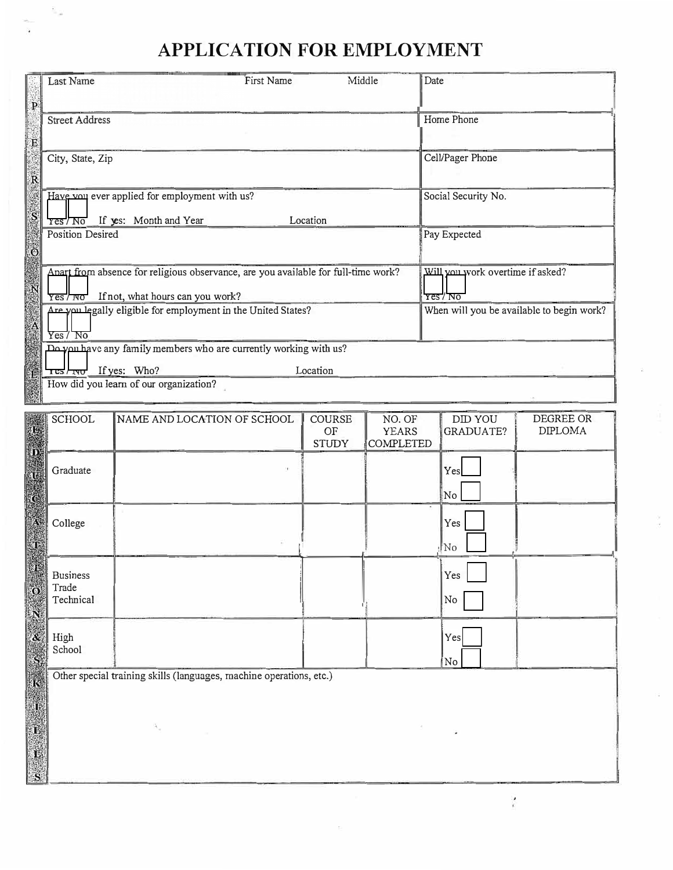## **APPLICATION FOR EMPLOYMENT**

| p              | Last Name                                                                                                                          | First Name | Middle | Date                                         |
|----------------|------------------------------------------------------------------------------------------------------------------------------------|------------|--------|----------------------------------------------|
| E              | <b>Street Address</b>                                                                                                              |            |        | Home Phone                                   |
|                | City, State, Zip                                                                                                                   |            |        | Cell/Pager Phone                             |
|                | Have you ever applied for employment with us?<br>If yes: Month and Year<br>res/N0                                                  | Location   |        | Social Security No.                          |
| $\ddot{\circ}$ | <b>Position Desired</b>                                                                                                            |            |        | Pay Expected                                 |
|                | Anart from absence for religious observance, are you available for full-time work?<br>If not, what hours can you work?<br>Yes / NO |            |        | Will you work overtime if asked?<br>Yes / No |
|                | Are you legally eligible for employment in the United States?<br>Yes/NO                                                            |            |        | When will you be available to begin work?    |
|                | Do you have any family members who are currently working with us?<br>Tes <sub>rwo</sub> If yes: Who?                               | Location   |        |                                              |
|                | How did you learn of our organization?                                                                                             |            |        |                                              |

|                      | <b>SCHOOL</b>                         | NAME AND LOCATION OF SCHOOL                                         | COURSE<br>OF<br><b>STUDY</b> | NO. OF<br><b>YEARS</b><br><b>COMPLETED</b> | <b>DID YOU</b><br><b>GRADUATE?</b> | DEGREE OR<br><b>DIPLOMA</b> |
|----------------------|---------------------------------------|---------------------------------------------------------------------|------------------------------|--------------------------------------------|------------------------------------|-----------------------------|
|                      | Graduate                              |                                                                     |                              |                                            | Yes<br>No                          |                             |
|                      | College                               |                                                                     |                              |                                            | Yes<br>No!                         |                             |
|                      | <b>Business</b><br>Trade<br>Technical |                                                                     |                              |                                            | Yes<br>No                          |                             |
|                      | High<br>School                        |                                                                     |                              |                                            | Yes<br>No                          |                             |
|                      |                                       | Other special training skills (languages, machine operations, etc.) |                              |                                            |                                    |                             |
| $\frac{1}{\sqrt{2}}$ |                                       |                                                                     |                              |                                            |                                    |                             |
|                      |                                       |                                                                     |                              |                                            |                                    |                             |
| 鸣<br> S              |                                       |                                                                     |                              |                                            |                                    |                             |

 $\ddot{\phantom{a}}$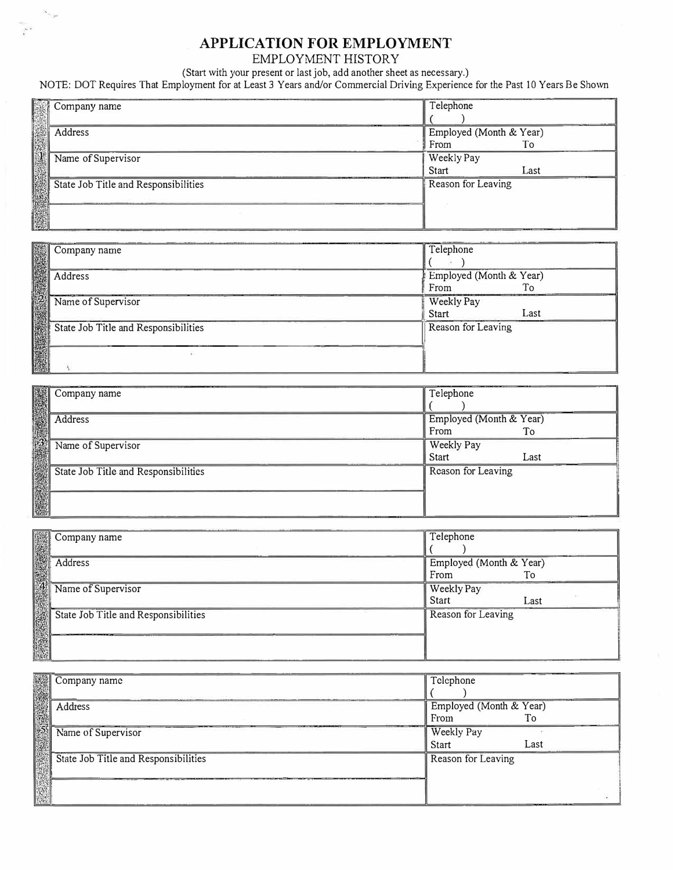## **APPLICATION FOR EMPLOYMENT**

EMPLOYMENT HISTORY

(Start with your present or last job, add another sheet as necessary.)

 $\mathcal{C}^{\times}$ 

NOTE: DOT Requires That Employment for at Least 3 Years and/or Commercial Driving Experience for the Past 10 Years Be Shown

| Company name                         | Telephone               |      |
|--------------------------------------|-------------------------|------|
|                                      |                         |      |
| Address                              | Employed (Month & Year) |      |
|                                      | From                    | To   |
| Name of Supervisor                   | Weekly Pay              |      |
|                                      | <b>Start</b>            | Last |
| State Job Title and Responsibilities | Reason for Leaving      |      |
|                                      |                         |      |
|                                      |                         |      |
|                                      |                         |      |

| Company name                         | Telephone                             |  |
|--------------------------------------|---------------------------------------|--|
| Address                              | Employed (Month & Year)<br>From<br>To |  |
| Name of Supervisor                   | Weekly Pay<br><b>Start</b><br>Last    |  |
| State Job Title and Responsibilities | Reason for Leaving                    |  |
|                                      |                                       |  |

| Company name                         | Telephone               |      |
|--------------------------------------|-------------------------|------|
|                                      |                         |      |
| Address                              | Employed (Month & Year) |      |
|                                      | From                    | To   |
| Name of Supervisor                   | Weekly Pay              |      |
|                                      | <b>Start</b>            | Last |
| State Job Title and Responsibilities | Reason for Leaving      |      |
|                                      |                         |      |
|                                      |                         |      |
|                                      |                         |      |

| Company name                         | Telephone               |      |
|--------------------------------------|-------------------------|------|
|                                      |                         |      |
| Address                              | Employed (Month & Year) |      |
|                                      | From                    | To   |
| Name of Supervisor                   | Weekly Pay              |      |
|                                      | <b>Start</b>            | Last |
| State Job Title and Responsibilities | Reason for Leaving      |      |
|                                      |                         |      |
|                                      |                         |      |
|                                      |                         |      |

| Company name                         | Telephone                       |      |
|--------------------------------------|---------------------------------|------|
| Address                              | Employed (Month & Year)<br>From | To   |
| Name of Supervisor                   | Weekly Pay<br>Start             | Last |
| State Job Title and Responsibilities | Reason for Leaving              |      |
|                                      |                                 |      |